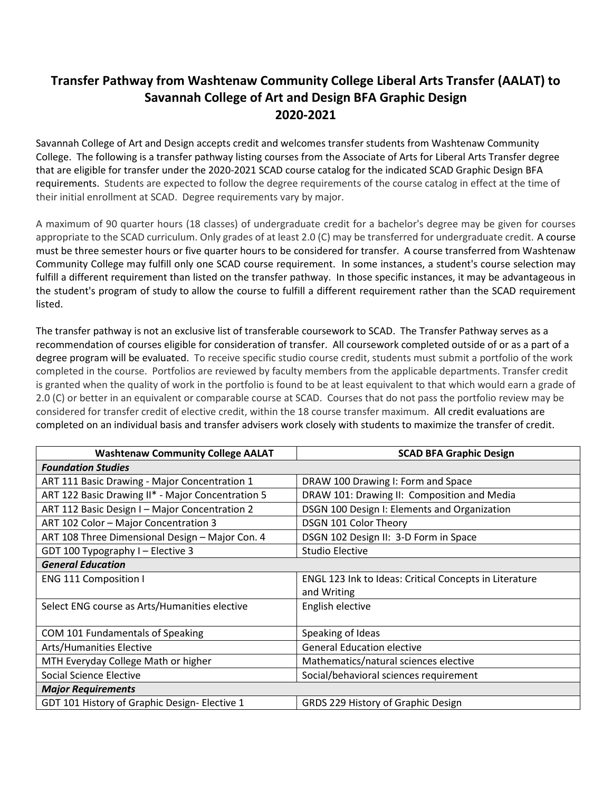## **Transfer Pathway from Washtenaw Community College Liberal Arts Transfer (AALAT) to Savannah College of Art and Design BFA Graphic Design 2020-2021**

Savannah College of Art and Design accepts credit and welcomes transfer students from Washtenaw Community College. The following is a transfer pathway listing courses from the Associate of Arts for Liberal Arts Transfer degree that are eligible for transfer under the 2020-2021 SCAD course catalog for the indicated SCAD Graphic Design BFA requirements. Students are expected to follow the degree requirements of the course catalog in effect at the time of their initial enrollment at SCAD. Degree requirements vary by major.

A maximum of 90 quarter hours (18 classes) of undergraduate credit for a bachelor's degree may be given for courses appropriate to the SCAD curriculum. Only grades of at least 2.0 (C) may be transferred for undergraduate credit. A course must be three semester hours or five quarter hours to be considered for transfer. A course transferred from Washtenaw Community College may fulfill only one SCAD course requirement. In some instances, a student's course selection may fulfill a different requirement than listed on the transfer pathway. In those specific instances, it may be advantageous in the student's program of study to allow the course to fulfill a different requirement rather than the SCAD requirement listed.

The transfer pathway is not an exclusive list of transferable coursework to SCAD. The Transfer Pathway serves as a recommendation of courses eligible for consideration of transfer. All coursework completed outside of or as a part of a degree program will be evaluated. To receive specific studio course credit, students must submit a portfolio of the work completed in the course. Portfolios are reviewed by faculty members from the applicable departments. Transfer credit is granted when the quality of work in the portfolio is found to be at least equivalent to that which would earn a grade of 2.0 (C) or better in an equivalent or comparable course at SCAD. Courses that do not pass the portfolio review may be considered for transfer credit of elective credit, within the 18 course transfer maximum. All credit evaluations are completed on an individual basis and transfer advisers work closely with students to maximize the transfer of credit.

| <b>Washtenaw Community College AALAT</b>          | <b>SCAD BFA Graphic Design</b>                         |
|---------------------------------------------------|--------------------------------------------------------|
| <b>Foundation Studies</b>                         |                                                        |
| ART 111 Basic Drawing - Major Concentration 1     | DRAW 100 Drawing I: Form and Space                     |
| ART 122 Basic Drawing II* - Major Concentration 5 | DRAW 101: Drawing II: Composition and Media            |
| ART 112 Basic Design I - Major Concentration 2    | DSGN 100 Design I: Elements and Organization           |
| ART 102 Color - Major Concentration 3             | DSGN 101 Color Theory                                  |
| ART 108 Three Dimensional Design - Major Con. 4   | DSGN 102 Design II: 3-D Form in Space                  |
| GDT 100 Typography I - Elective 3                 | <b>Studio Elective</b>                                 |
| <b>General Education</b>                          |                                                        |
| <b>ENG 111 Composition I</b>                      | ENGL 123 Ink to Ideas: Critical Concepts in Literature |
|                                                   | and Writing                                            |
| Select ENG course as Arts/Humanities elective     | English elective                                       |
|                                                   |                                                        |
| COM 101 Fundamentals of Speaking                  | Speaking of Ideas                                      |
| <b>Arts/Humanities Elective</b>                   | <b>General Education elective</b>                      |
| MTH Everyday College Math or higher               | Mathematics/natural sciences elective                  |
| Social Science Elective                           | Social/behavioral sciences requirement                 |
| <b>Major Requirements</b>                         |                                                        |
| GDT 101 History of Graphic Design- Elective 1     | GRDS 229 History of Graphic Design                     |